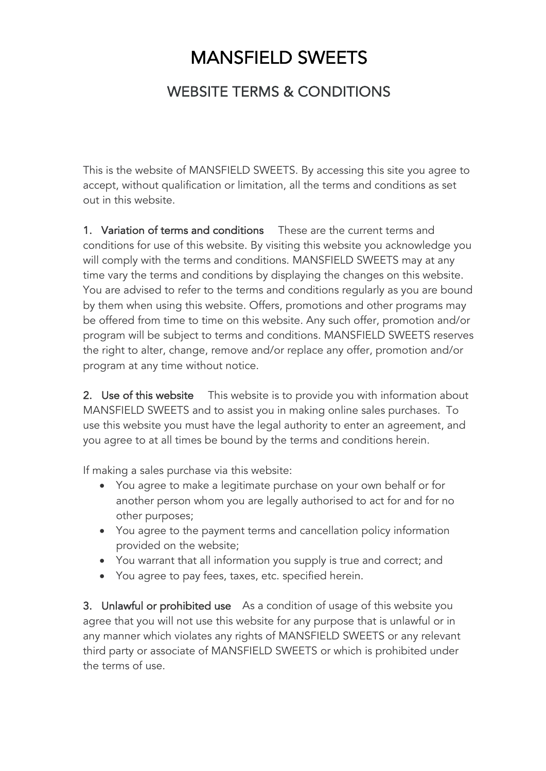## MANSFIELD SWEETS

## WEBSITE TERMS & CONDITIONS

This is the website of MANSFIELD SWEETS. By accessing this site you agree to accept, without qualification or limitation, all the terms and conditions as set out in this website.

1. Variation of terms and conditions These are the current terms and conditions for use of this website. By visiting this website you acknowledge you will comply with the terms and conditions. MANSFIELD SWEETS may at any time vary the terms and conditions by displaying the changes on this website. You are advised to refer to the terms and conditions regularly as you are bound by them when using this website. Offers, promotions and other programs may be offered from time to time on this website. Any such offer, promotion and/or program will be subject to terms and conditions. MANSFIELD SWEETS reserves the right to alter, change, remove and/or replace any offer, promotion and/or program at any time without notice.

2. Use of this website Ihis website is to provide you with information about MANSFIELD SWEETS and to assist you in making online sales purchases. To use this website you must have the legal authority to enter an agreement, and you agree to at all times be bound by the terms and conditions herein.

If making a sales purchase via this website:

- You agree to make a legitimate purchase on your own behalf or for another person whom you are legally authorised to act for and for no other purposes;
- You agree to the payment terms and cancellation policy information provided on the website;
- You warrant that all information you supply is true and correct; and
- You agree to pay fees, taxes, etc. specified herein.

3. Unlawful or prohibited use As a condition of usage of this website you agree that you will not use this website for any purpose that is unlawful or in any manner which violates any rights of MANSFIELD SWEETS or any relevant third party or associate of MANSFIELD SWEETS or which is prohibited under the terms of use.